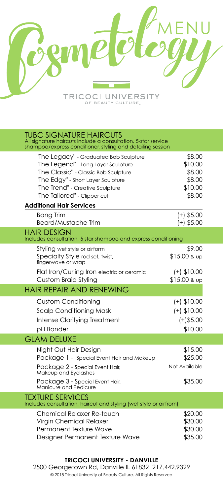

| <b>TUBC SIGNATURE HAIRCUTS</b><br>All signature haircuts include a consultation, 5-star service<br>shampoo/express conditioner, styling and detailing session                                                                    |                                                            |
|----------------------------------------------------------------------------------------------------------------------------------------------------------------------------------------------------------------------------------|------------------------------------------------------------|
| "The Legacy" - Graduated Bob Sculpture<br>"The Legend" - Long Layer Sculpture<br>"The Classic" - Classic Bob Sculpture<br>"The Edgy" - Short Layer Sculpture<br>"The Trend" - Creative Sculpture<br>"The Tailored" - Clipper cut | \$8.00<br>\$10.00<br>\$8.00<br>\$8.00<br>\$10.00<br>\$8.00 |
| <b>Additional Hair Services</b><br><b>Bang Trim</b><br>Beard/Mustache Trim                                                                                                                                                       | $(+)$ \$5.00<br>$(+)$ \$5.00                               |
| <b>HAIR DESIGN</b><br>Includes consultation, 5 star shampoo and express conditioning                                                                                                                                             |                                                            |
| Styling wet style or airform<br>Specialty Style rod set, twist,<br>fingerwave or wrap                                                                                                                                            | \$9.00<br>$$15.00$ & up                                    |
| Flat Iron/Curling Iron electric or ceramic<br><b>Custom Braid Styling</b>                                                                                                                                                        | $(+)$ \$10.00<br>$$15.00$ & up                             |
| <b>HAIR REPAIR AND RENEWING</b>                                                                                                                                                                                                  |                                                            |
|                                                                                                                                                                                                                                  |                                                            |
| <b>Custom Conditioning</b><br><b>Scalp Conditioning Mask</b><br>Intense Clarifying Treatment<br>pH Bonder                                                                                                                        | $(+)$ \$10.00<br>$(+)$ \$10.00<br>$(+)$ \$5.00<br>\$10.00  |
| <b>GLAM DELUXE</b>                                                                                                                                                                                                               |                                                            |
| Night Out Hair Design<br>Package 1 - Special Event Hair and Makeup<br>Package 2 - Special Event Hair,<br>Makeup and Eyelashes<br>Package 3 - Special Event Hair,<br>Manicure and Pedicure                                        | \$15.00<br>\$25.00<br>Not Available<br>\$35.00             |
| <b>TEXTURE SERVICES</b><br>Includes consultation, haircut and styling (wet style or airfrom)                                                                                                                                     |                                                            |

## **TRICOCI UNIVERSITY - DANVILLE**

© 2018 Tricoci University of Beauty Culture. All Rights Reserved 2500 Georgetown Rd, Danville IL 61832 217.442.9329